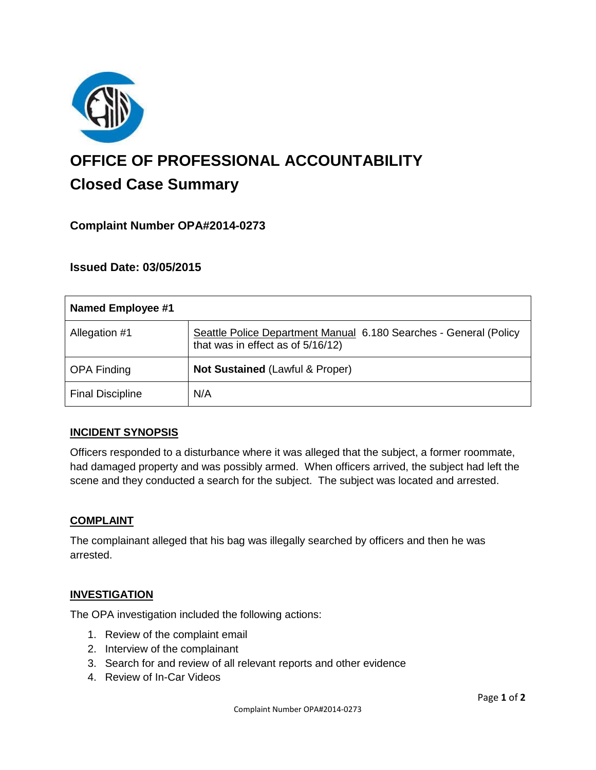

# **OFFICE OF PROFESSIONAL ACCOUNTABILITY Closed Case Summary**

## **Complaint Number OPA#2014-0273**

## **Issued Date: 03/05/2015**

| <b>Named Employee #1</b> |                                                                                                        |
|--------------------------|--------------------------------------------------------------------------------------------------------|
| Allegation #1            | Seattle Police Department Manual 6.180 Searches - General (Policy<br>that was in effect as of 5/16/12) |
| <b>OPA Finding</b>       | Not Sustained (Lawful & Proper)                                                                        |
| <b>Final Discipline</b>  | N/A                                                                                                    |

#### **INCIDENT SYNOPSIS**

Officers responded to a disturbance where it was alleged that the subject, a former roommate, had damaged property and was possibly armed. When officers arrived, the subject had left the scene and they conducted a search for the subject. The subject was located and arrested.

#### **COMPLAINT**

The complainant alleged that his bag was illegally searched by officers and then he was arrested.

#### **INVESTIGATION**

The OPA investigation included the following actions:

- 1. Review of the complaint email
- 2. Interview of the complainant
- 3. Search for and review of all relevant reports and other evidence
- 4. Review of In-Car Videos